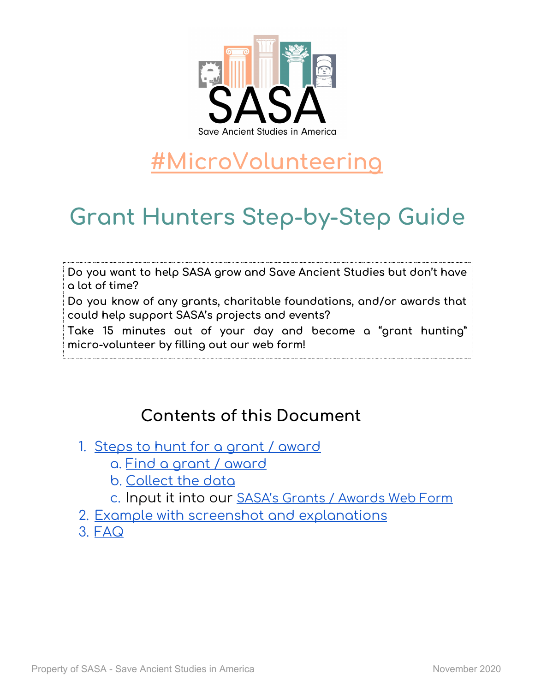

# **[#MicroVolunteering](https://www.saveancientstudies.org/volunteer)**

# **Grant Hunters Step-by-Step Guide**

**Do you want to help SASA grow and Save Ancient Studies but don't have a lot of time?**

**Do you know of any grants, charitable foundations, and/or awards that could help support SASA's projects and events?**

**Take 15 minutes out of your day and become a "grant hunting" micro-volunteer by filling out our web form!**

## **Contents of this Document**

- 1. Steps to hunt for a grant / [award](#page-1-0)
	- a. Find a grant / [award](#page-1-1)
	- b. [Collect](#page-1-2) the data
	- c. Input it into our SASA's Grants / [Awards](https://www.saveancientstudies.org/sasa-grant-hunters) Web Form
- 2. Example with screenshot and [explanations](#page-2-0)
- 3. [FAQ](#page-5-0)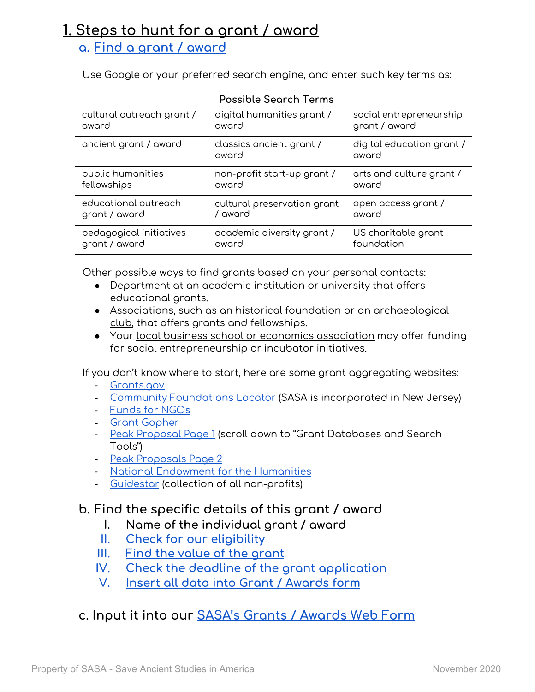### <span id="page-1-0"></span>**1. Steps to hunt for a grant / award**

#### <span id="page-1-1"></span>**a. Find a grant / [award](#page-2-1)**

Use Google or your preferred search engine, and enter such key terms as:

| cultural outreach grant / | digital humanities grant /        | social entrepreneurship            |
|---------------------------|-----------------------------------|------------------------------------|
| award                     | award                             | grant / award                      |
| ancient grant / award     | classics ancient grant /<br>award | digital education grant /<br>award |
| public humanities         | non-profit start-up grant /       | arts and culture grant /           |
| fellowships               | award                             | award                              |
| educational outreach      | cultural preservation grant       | open access grant /                |
| grant / award             | / award                           | award                              |
| pedagogical initiatives   | academic diversity grant /        | US charitable grant                |
| grant / award             | award                             | foundation                         |

#### **Possible Search Terms**

Other possible ways to find grants based on your personal contacts:

- Department at an academic institution or university that offers educational grants.
- Associations, such as an historical foundation or an archaeological club, that offers grants and fellowships.
- Your local business school or economics association may offer funding for social entrepreneurship or incubator initiatives.

If you don't know where to start, here are some grant aggregating websites:

- [Grants.gov](https://www.grants.gov/)
- Community [Foundations](https://www.cof.org/community-foundation-locator) Locator (SASA is incorporated in New Jersey)
- [Funds](https://www2.fundsforngos.org/) for NGOs
- Grant [Gopher](https://grantgopher.com/#/)
- <u>Peak [Proposal](https://www.peakproposals.com/general-resources/) Page 1</u> (scroll down to "Grant Databases and Search Tools")
- Peak [Proposals](https://www.peakproposals.com/blog/the-best-free-places-to-search-for-grant-funding/#free_resources=) Page 2
- National [Endowment](https://www.neh.gov/) for the Humanities
- [Guidestar](https://www.guidestar.org/) (collection of all non-profits)

#### <span id="page-1-2"></span>**b. Find the specific details of this grant / award**

- **I. Name of the individual grant / award**
- **II. Check for our [eligibility](#page-2-2)**
- **III. Find the value of the [grant](#page-3-0)**
- **IV. Check the deadline of the grant [application](#page-3-1)**
- **V. Insert all data into Grant / [Awards](#page-3-2) form**
- **c. Input it into our SASA's Grants / [Awards](https://www.saveancientstudies.org/sasa-grant-hunters) Web Form**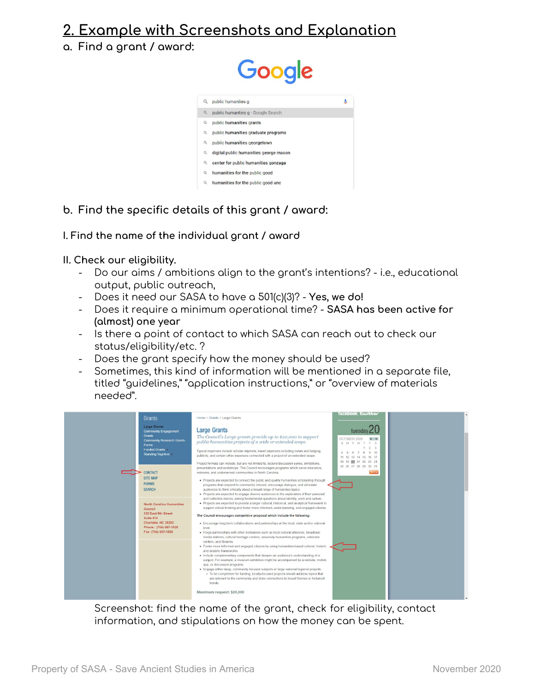### <span id="page-2-0"></span>**2. Example with Screenshots and Explanation**

<span id="page-2-1"></span>**a. Find a grant / award:**



**b. Find the specific details of this grant / award:**

**I. Find the name of the individual grant / award**

<span id="page-2-2"></span>**II. Check our eligibility.**

- Do our aims / ambitions align to the grant's intentions? i.e., educational output, public outreach,
- Does it need our SASA to have a 501(c)(3)? **Yes, we do!**
- Does it require a minimum operational time? **SASA has been active for (almost) one year**
- Is there a point of contact to which SASA can reach out to check our status/eligibility/etc. ?
- Does the grant specify how the money should be used?
- Sometimes, this kind of information will be mentioned in a separate file, titled "guidelines," "application instructions," or "overview of materials needed".



Screenshot: find the name of the grant, check for eligibility, contact information, and stipulations on how the money can be spent.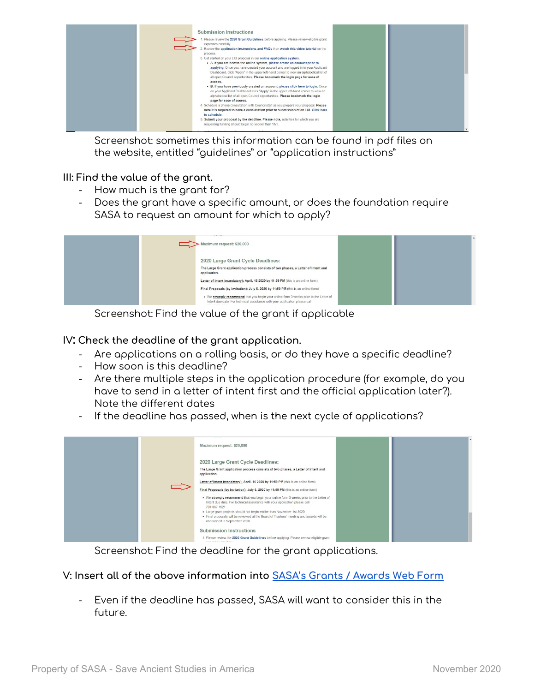

Screenshot: sometimes this information can be found in pdf files on the website, entitled "guidelines" or "application instructions"

#### <span id="page-3-0"></span>**III: Find the value of the grant.**

- How much is the grant for?
- Does the grant have a specific amount, or does the foundation require SASA to request an amount for which to apply?

| Maximum request: \$20,000                                                                                                                                               |  |
|-------------------------------------------------------------------------------------------------------------------------------------------------------------------------|--|
| 2020 Large Grant Cycle Deadlines:<br>The Large Grant application process consists of two phases, a Letter of Intent and<br>application.                                 |  |
| Letter of Intent (mandatory); April, 16 2020 by 11:59 PM (this is an online form)<br>Final Proposals (by invitation): July 6, 2020 by 11:59 PM (this is an online form) |  |
| . We strongly recommend that you begin your online form 3 weeks prior to the Letter of<br>Intent due date. For technical assistance with your application please call   |  |

Screenshot: Find the value of the grant if applicable

<span id="page-3-1"></span>**IV: Check the deadline of the grant application.**

- Are applications on a rolling basis, or do they have a specific deadline?
- How soon is this deadline?
- Are there multiple steps in the application procedure (for example, do you have to send in a letter of intent first and the official application later?). Note the different dates
- If the deadline has passed, when is the next cycle of applications?

|  | Maximum request: \$20,000                                                                                                                                                              |  |  |
|--|----------------------------------------------------------------------------------------------------------------------------------------------------------------------------------------|--|--|
|  | 2020 Large Grant Cycle Deadlines:                                                                                                                                                      |  |  |
|  | The Large Grant application process consists of two phases, a Letter of Intent and<br>application.                                                                                     |  |  |
|  | Letter of Intent (mandatory); April, 16 2020 by 11:59 PM (this is an online form)                                                                                                      |  |  |
|  | Final Proposals (by invitation); July 6, 2020 by 11:59 PM (this is an online form)                                                                                                     |  |  |
|  | . We strongly recommend that you begin your online form 3 weeks prior to the Letter of<br>Intent due date. For technical assistance with your application please call<br>704.687.1521. |  |  |
|  | . Large grant projects should not begin earlier than November 1st 2020<br>. Final proposals will be reviewed at the Board of Trustees' meeting and awards will be                      |  |  |
|  | announced in September 2020.                                                                                                                                                           |  |  |
|  | <b>Submission Instructions</b>                                                                                                                                                         |  |  |
|  | 1. Please review the 2020 Grant Guidelines before applying. Please review eligible grant                                                                                               |  |  |

Screenshot: Find the deadline for the grant applications.

<span id="page-3-2"></span>**V: Insert all of the above information into SASA's Grants / [Awards](https://www.saveancientstudies.org/sasa-grant-hunters) Web Form**

- Even if the deadline has passed, SASA will want to consider this in the future.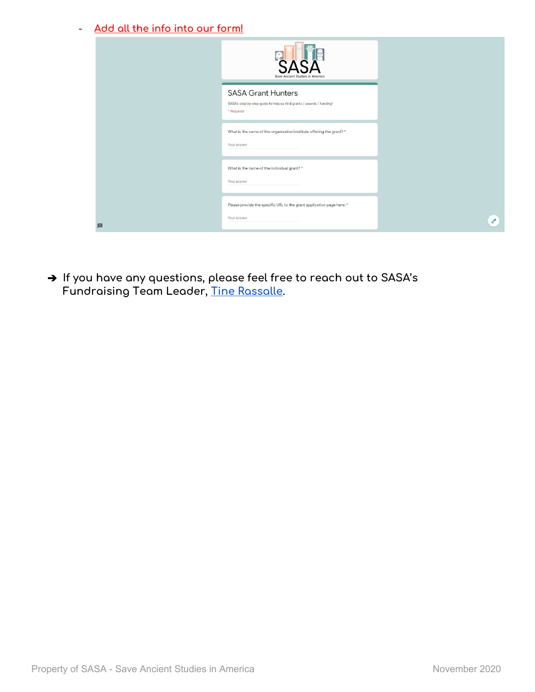- **Add all the info into our form!**

|   | $\left( \begin{array}{c} 1 \\ 1 \end{array} \right)$<br>Save Ancient Studies in America                         |               |
|---|-----------------------------------------------------------------------------------------------------------------|---------------|
|   | <b>SASA Grant Hunters</b><br>SASA's step-by-step guide to help us find grants / awards / funding!<br>* Required |               |
|   | What is the name of the organization/institute offering the grant? *<br>Your answer                             |               |
|   | What is the name of the individual grant? *<br>Your answer                                                      |               |
| 圓 | Please provide the specific URL to the grant application page here: *<br>Your answer                            | $\mathscr{Q}$ |

➔ **If you have any questions, please feel free to reach out to SASA's Fundraising Team Leader, Tine [Rassalle](mailto:trassalle@saveancientstudies.org).**